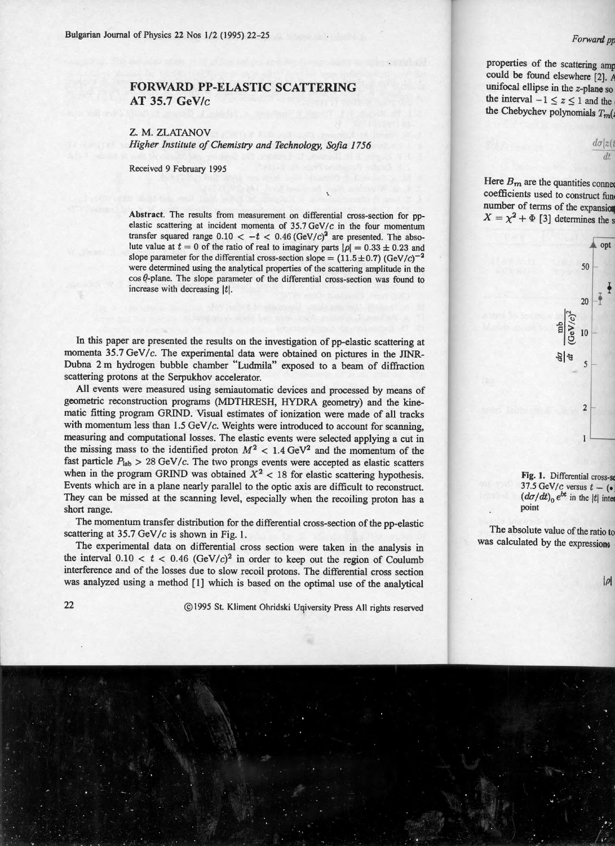## **FORWARD PP-ELASTIC SCATTERING AT 35.7** GeV/c

## Z. M. ZLATANOV

*Higher Institute of Chemistry and Technology, Sofia 1756* 

Received 9 February 1995

Abstract. The results from measurement on differential cross-section for ppelastic scattering at incident momenta of 35.7 GeV/c in the four momentum transfer squared range  $0.10 < -t < 0.46$  (GeV/ $c$ )<sup>2</sup> are presented. The absolute value at  $t = 0$  of the ratio of real to imaginary parts  $|\rho| = 0.33 \pm 0.23$  and slope parameter for the differential cross-section slope =  $(11.5 \pm 0.7)$  (GeV/c)<sup>-2</sup> were determined using the analytical properties of the scattering amplitude in the  $\cos \theta$ -plane. The slope parameter of the differential cross-section was found to increase with decreasing ltl.

In this paper are presented the results on the investigation of pp-elastic scattering at momenta 35.7 GeV/c. The experimental data were obtained on pictures in the JINR-Dubna 2 m hydrogen bubble chamber "Ludmila" exposed to a beam of diffraction scattering protons at the Serpukhov accelerator.

All events were measured using semiautomatic devices and processed by means of geometric reconstruction programs (MDTHRESH, HYDRA geometry) and the kinematic fitting program GRIND. Visual estimates of ionization were made of all tracks with momentum less than  $1.5$  GeV/c. Weights were introduced to account for scanning, measuring and computational losses. The elastic events were selected applying a cut in the missing mass to the identified proton  $M^2 < 1.4$  GeV<sup>2</sup> and the momentum of the fast particle  $P_{\text{lab}} > 28 \text{ GeV}/c$ . The two prongs events were accepted as elastic scatters when in the program GRIND was obtained  $X^2 < 18$  for elastic scattering hypothesis. Events which are in a plane nearly parallel to the optic axis are difficult to reconstruct. They can be missed at the scanning level, especially when the recoiling proton has a short range.

The momentum transfer distribution for the differential cross-section of the pp-elastic scattering at 35.7 GeV/c is shown in Fig. 1.

The experimental data on differential cross section were taken in the analysis in the interval  $0.10 < t < 0.46$  (GeV/c)<sup>2</sup> in order to keep out the region of Coulumb interference and of the losses due to slow recoil protons. The differential cross section was analyzed using a method [I] which is based on the optimal use of the analytical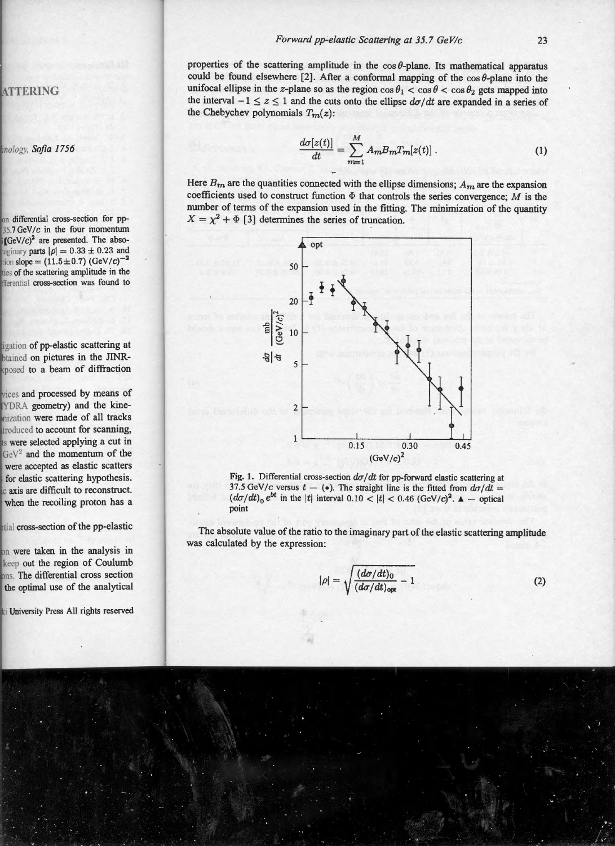properties of the scattering amplitude in the  $\cos \theta$ -plane. Its mathematical apparatus could be found elsewhere [2]. After a conformal mapping of the  $\cos \theta$ -plane into the unifocal ellipse in the z-plane so as the region  $\cos \theta_1 < \cos \theta < \cos \theta_2$  gets mapped into the interval  $-1 \le z \le 1$  and the cuts onto the ellipse  $d\sigma/dt$  are expanded in a series of the Chebychev polynomials  $T_m(z)$ :

$$
\frac{d\sigma[z(t)]}{dt} = \sum_{m=1}^{M} A_m B_m T_m[z(t)]. \qquad (1)
$$

Here  $B_m$  are the quantities connected with the ellipse dimensions;  $A_m$  are the expansion coefficients used to construct function  $\Phi$  that controls the series convergence; M is the number of terms of the expansion used in the fitting. The minimization of the quantity  $X = \chi^2 + \Phi$  [3] determines the series of truncation.



Fig. 1. Differential cross-section  $d\sigma/dt$  for pp-forward elastic scattering at 37.5 GeV/c versus  $t - (•)$ . The straight line is the fitted from  $d\sigma/dt =$  $(d\sigma/dt)_0 e^{bt}$  in the |t| interval 0.10 <  $|t|$  < 0.46 (GeV/c)<sup>2</sup>.  $\Delta$  - optical point

The absolute value of the ratio to the imaginary part of the elastic scattering amplitude was calculated by the expression:

$$
|\rho| = \sqrt{\frac{(d\sigma/dt)_{0}}{(d\sigma/dt)_{\text{opt}}} - 1}
$$
 (2)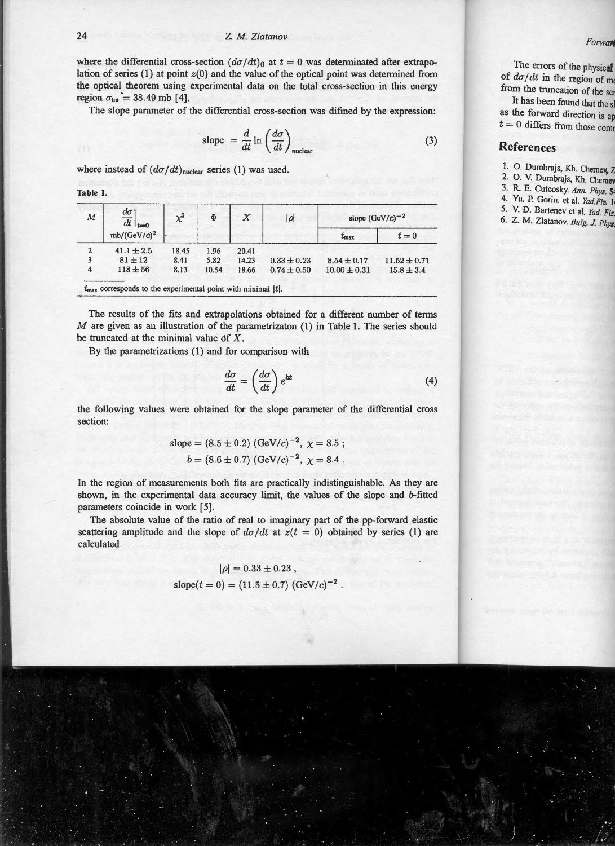where the differential cross-section  $(d\sigma/dt)$ <sup>0</sup> at  $t = 0$  was determinated after extrapolation of series (1) at point  $z(0)$  and the value of the optical point was determined from the optical theorem using experimental data on the total cross-section in this energy region  $\sigma_{\text{tot}} = 38.49$  mb [4].

The slope parameter of the differential cross-section was difined by the expression:

slope 
$$
=\frac{d}{dt}\ln\left(\frac{d\sigma}{dt}\right)_{\text{nuclear}}
$$
 (3)

where instead of  $(d\sigma/dt)_{\text{nuclear}}$  series (1) was used.

**Table 1.** 

| M | $d\sigma$<br>$\overline{dt}\Big _{t=0}$<br>$mb/(GeV/c)^2$ | $\chi^2$ | $\Phi$ | $\boldsymbol{X}$ | $ \rho $        | slope $(GeV/c)^{-2}$ |                  |
|---|-----------------------------------------------------------|----------|--------|------------------|-----------------|----------------------|------------------|
|   |                                                           |          |        |                  |                 | $t_{\rm max}$        | $t=0$            |
|   | $41.1 \pm 2.5$                                            | 18.45    | 1.96   | 20.41            |                 |                      |                  |
|   | $81 \pm 12$                                               | 8.41     | 5.82   | 14.23            | $0.33 \pm 0.23$ | $8.54 \pm 0.17$      | $11.52 \pm 0.71$ |
| 4 | $118 \pm 56$                                              | 8.13     | 10.54  | 18.66            | $0.74 \pm 0.50$ | $10.00 \pm 0.31$     | $15.8 \pm 3.4$   |

The results of the fits and extrapolations obtained for a different number of terms M are given as an illustration of the parametrizaton (1) in Table 1. The series should be truncated at the minimal value of  $X$ .

By the parametrizations (1) and for comparison with

$$
\frac{d\sigma}{dt} = \left(\frac{d\sigma}{dt}\right)e^{bt} \tag{4}
$$

the following values were obtained for the slope parameter of the differential cross section:

slope = (8.5 ± 0.2) (GeV/c)<sup>-2</sup>, 
$$
\chi
$$
 = 8.5 ;  
 $b = (8.6 \pm 0.7) (\text{GeV}/c)^{-2}$ ,  $\chi$  = 8.4.

In the region of measurements both fits are practically indistinguishable. As they are shown, in the experimental data accuracy limit, the values of the slope and b-fitted parameters coincide in work [5].

The absolute value of the ratio of real to imaginary part of the pp-forward elastic scattering amplitude and the slope of  $d\sigma/dt$  at  $z(t = 0)$  obtained by series (1) are calculated

$$
|\rho| = 0.33 \pm 0.23,
$$
  
slope $(t = 0) = (11.5 \pm 0.7) (\text{GeV}/c)^{-2}$ .